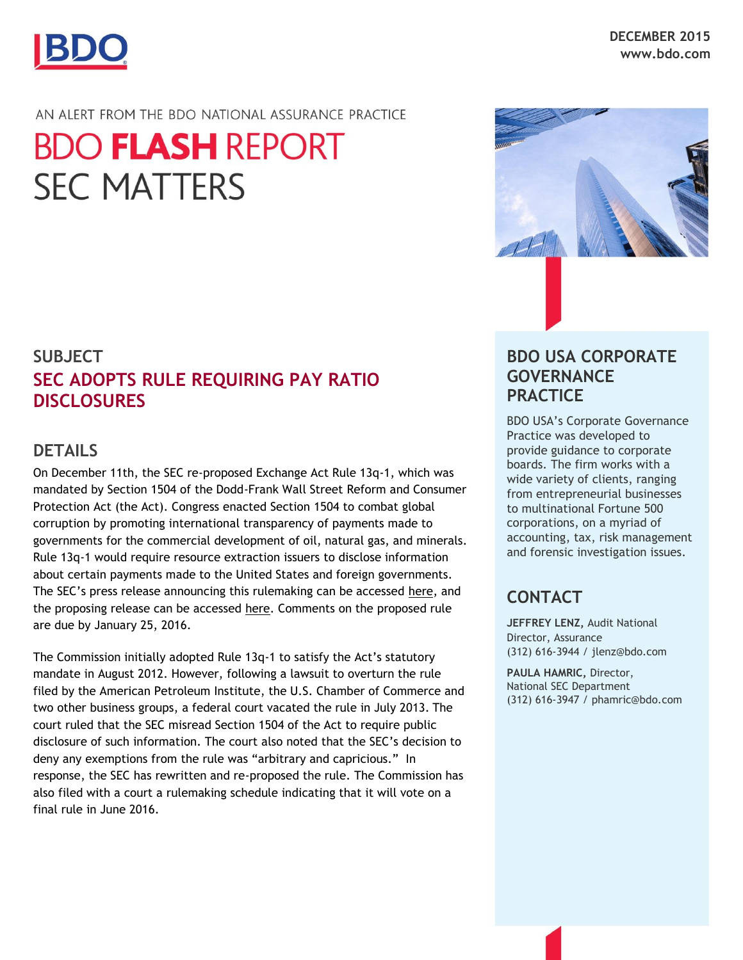

#### AN ALERT FROM THE BDO NATIONAL ASSURANCE PRACTICE

# **BDO FLASH REPORT SEC MATTERS**

## **SUBJECT SEC ADOPTS RULE REQUIRING PAY RATIO DISCLOSURES**

#### **DETAILS**

On December 11th, the SEC re-proposed Exchange Act Rule 13q-1, which was mandated by Section 1504 of the Dodd-Frank Wall Street Reform and Consumer Protection Act (the Act). Congress enacted Section 1504 to combat global corruption by promoting international transparency of payments made to governments for the commercial development of oil, natural gas, and minerals. Rule 13q-1 would require resource extraction issuers to disclose information about certain payments made to the United States and foreign governments. The SEC's press release announcing this rulemaking can be accessed [here,](http://www.sec.gov/news/pressrelease/2015-277.html) and the proposing release can be accessed [here.](http://www.sec.gov/rules/proposed/2015/34-76620.pdf) Comments on the proposed rule are due by January 25, 2016.

The Commission initially adopted Rule 13q-1 to satisfy the Act's statutory mandate in August 2012. However, following a lawsuit to overturn the rule filed by the American Petroleum Institute, the U.S. Chamber of Commerce and two other business groups, a federal court vacated the rule in July 2013. The court ruled that the SEC misread Section 1504 of the Act to require public disclosure of such information. The court also noted that the SEC's decision to deny any exemptions from the rule was "arbitrary and capricious." In response, the SEC has rewritten and re-proposed the rule. The Commission has also filed with a court a rulemaking schedule indicating that it will vote on a final rule in June 2016.



### **BDO USA CORPORATE GOVERNANCE PRACTICE**

BDO USA's Corporate Governance Practice was developed to provide guidance to corporate boards. The firm works with a wide variety of clients, ranging from entrepreneurial businesses to multinational Fortune 500 corporations, on a myriad of accounting, tax, risk management and forensic investigation issues.

## **CONTACT**

**JEFFREY LENZ,** Audit National Director, Assurance (312) 616-3944 / jlenz@bdo.com

**PAULA HAMRIC,** Director, National SEC Department (312) 616-3947 / phamric@bdo.com